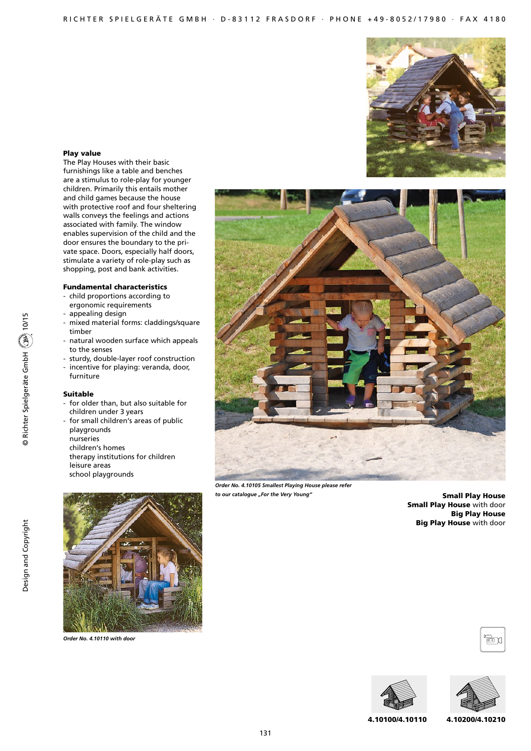

#### Play value

The Play Houses with their basic furnishings like a table and benches are a stimulus to role-play for younger children. Primarily this entails mother and child games because the house with protective roof and four sheltering walls conveys the feelings and actions associated with family. The window enables supervision of the child and the door ensures the boundary to the private space. Doors, especially half doors, stimulate a variety of role-play such as shopping, post and bank activities.

#### Fundamental characteristics

- child proportions according to ergonomic requirements
- appealing design
- mixed material forms: claddings/square timber
- natural wooden surface which appeals to the senses
- sturdy, double-layer roof construction
- incentive for playing: veranda, door, furniture

#### Suitable

- for older than, but also suitable for children under 3 years
- for small children's areas of public playgrounds
- nurseries
- children's homes
- therapy institutions for children leisure areas school playgrounds



*Order No. 4.10105 Smallest Playing House please refer to our catalogue "For the Very Young"*

131

Small Play House Small Play House with door Big Play House Big Play House with door



*Order No. 4.10110 with door*







4.10100/4.10110 4.10200/4.10210